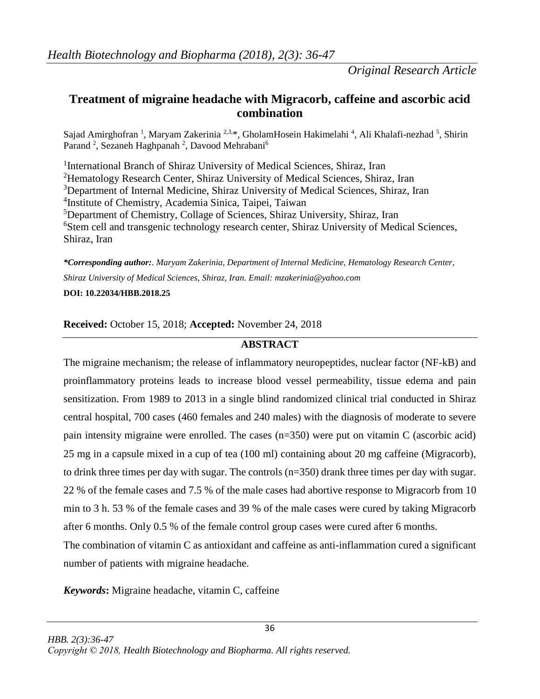## **Treatment of migraine headache with Migracorb, caffeine and ascorbic acid combination**

Sajad Amirghofran <sup>1</sup>, Maryam Zakerinia <sup>2,3,\*</sup>, GholamHosein Hakimelahi <sup>4</sup>, Ali Khalafi-nezhad <sup>5</sup>, Shirin Parand<sup>2</sup>, Sezaneh Haghpanah<sup>2</sup>, Davood Mehrabani<sup>6</sup>

<sup>1</sup>International Branch of Shiraz University of Medical Sciences, Shiraz, Iran <sup>2</sup>Hematology Research Center, Shiraz University of Medical Sciences, Shiraz, Iran <sup>3</sup>Department of Internal Medicine, Shiraz University of Medical Sciences, Shiraz, Iran 4 Institute of Chemistry, Academia Sinica, Taipei, Taiwan <sup>5</sup>Department of Chemistry, Collage of Sciences, Shiraz University, Shiraz, Iran <sup>6</sup>Stem cell and transgenic technology research center, Shiraz University of Medical Sciences, Shiraz, Iran

*\*Corresponding author:. Maryam Zakerinia, Department of Internal Medicine, Hematology Research Center, Shiraz University of Medical Sciences, Shiraz, Iran. Email: [mzakerinia@yahoo.com](mailto:mzakerinia@yahoo.com)* **DOI: 10.22034/HBB.2018.25**

## **Received:** October 15, 2018; **Accepted:** November 24, 2018

## **ABSTRACT**

The migraine mechanism; the release of inflammatory neuropeptides, nuclear factor (NF-kB) and proinflammatory proteins leads to increase blood vessel permeability, tissue edema and pain sensitization. From 1989 to 2013 in a single blind randomized clinical trial conducted in Shiraz central hospital, 700 cases (460 females and 240 males) with the diagnosis of moderate to severe pain intensity migraine were enrolled. The cases (n=350) were put on vitamin C (ascorbic acid) 25 mg in a capsule mixed in a cup of tea (100 ml) containing about 20 mg caffeine (Migracorb), to drink three times per day with sugar. The controls (n=350) drank three times per day with sugar. 22 % of the female cases and 7.5 % of the male cases had abortive response to Migracorb from 10 min to 3 h. 53 % of the female cases and 39 % of the male cases were cured by taking Migracorb after 6 months. Only 0.5 % of the female control group cases were cured after 6 months.

The combination of vitamin C as antioxidant and caffeine as anti-inflammation cured a significant number of patients with migraine headache.

36

*Keywords***:** Migraine headache, vitamin C, caffeine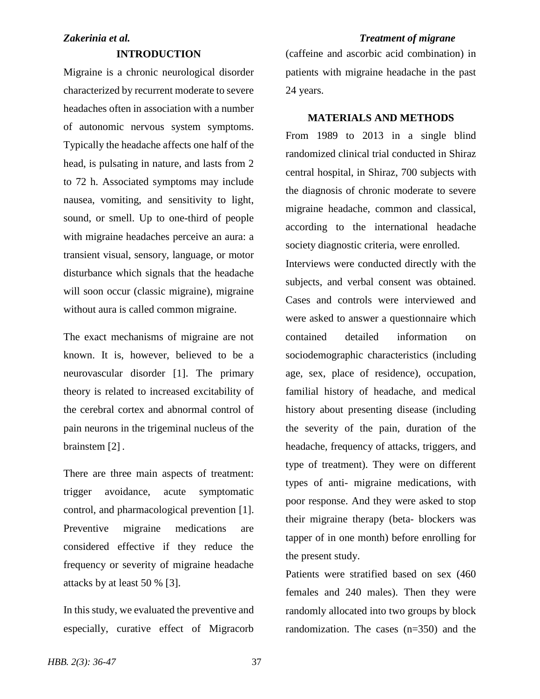## *Zakerinia et al. Treatment of migrane*

## **INTRODUCTION**

Migraine is a chronic neurological disorder characterized by recurrent moderate to severe headaches often in association with a number of autonomic nervous system symptoms. Typically the headache affects one half of the head, is pulsating in nature, and lasts from 2 to 72 h. Associated symptoms may include nausea, vomiting, and sensitivity to light, sound, or smell. Up to one-third of people with migraine headaches perceive an aura: a transient visual, sensory, language, or motor disturbance which signals that the headache will soon occur (classic migraine), migraine without aura is called common migraine.

The exact mechanisms of migraine are not known. It is, however, believed to be a neurovascular disorder [1]. The primary theory is related to increased excitability of the cerebral cortex and abnormal control of pain neurons in the trigeminal nucleus of the brainstem [2] .

There are three main aspects of treatment: trigger avoidance, acute symptomatic control, and pharmacological prevention [1]. Preventive migraine medications are considered effective if they reduce the frequency or severity of migraine headache attacks by at least 50 % [3].

In this study, we evaluated the preventive and especially, curative effect of Migracorb

# (caffeine and ascorbic acid combination) in patients with migraine headache in the past 24 years.

## **MATERIALS AND METHODS**

From 1989 to 2013 in a single blind randomized clinical trial conducted in Shiraz central hospital, in Shiraz, 700 subjects with the diagnosis of chronic moderate to severe migraine headache, common and classical, according to the international headache society diagnostic criteria, were enrolled. Interviews were conducted directly with the subjects, and verbal consent was obtained. Cases and controls were interviewed and were asked to answer a questionnaire which contained detailed information on sociodemographic characteristics (including age, sex, place of residence), occupation, familial history of headache, and medical history about presenting disease (including the severity of the pain, duration of the headache, frequency of attacks, triggers, and type of treatment). They were on different types of anti- migraine medications, with poor response. And they were asked to stop their migraine therapy (beta- blockers was tapper of in one month) before enrolling for the present study.

Patients were stratified based on sex (460 females and 240 males). Then they were randomly allocated into two groups by block randomization. The cases (n=350) and the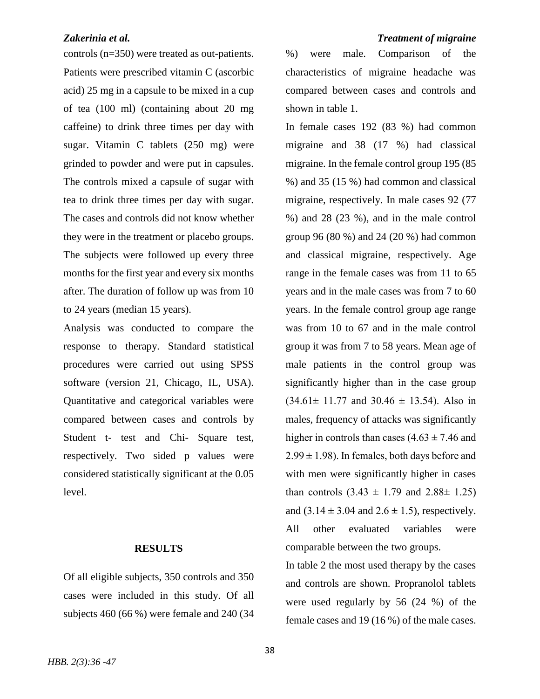controls (n=350) were treated as out-patients. Patients were prescribed vitamin C (ascorbic acid) 25 mg in a capsule to be mixed in a cup of tea (100 ml) (containing about 20 mg caffeine) to drink three times per day with sugar. Vitamin C tablets (250 mg) were grinded to powder and were put in capsules. The controls mixed a capsule of sugar with tea to drink three times per day with sugar. The cases and controls did not know whether they were in the treatment or placebo groups. The subjects were followed up every three months for the first year and every six months after. The duration of follow up was from 10 to 24 years (median 15 years).

Analysis was conducted to compare the response to therapy. Standard statistical procedures were carried out using SPSS software (version 21, Chicago, IL, USA). Quantitative and categorical variables were compared between cases and controls by Student t- test and Chi- Square test, respectively. Two sided p values were considered statistically significant at the 0.05 level.

## **RESULTS**

Of all eligible subjects, 350 controls and 350 cases were included in this study. Of all subjects 460 (66 %) were female and 240 (34

## *Zakerinia et al. Treatment of migraine*

%) were male. Comparison of the characteristics of migraine headache was compared between cases and controls and shown in table 1.

In female cases 192 (83 %) had common migraine and 38 (17 %) had classical migraine. In the female control group 195 (85 %) and 35 (15 %) had common and classical migraine, respectively. In male cases 92 (77 %) and 28 (23 %), and in the male control group 96 (80 %) and 24 (20 %) had common and classical migraine, respectively. Age range in the female cases was from 11 to 65 years and in the male cases was from 7 to 60 years. In the female control group age range was from 10 to 67 and in the male control group it was from 7 to 58 years. Mean age of male patients in the control group was significantly higher than in the case group  $(34.61 \pm 11.77 \text{ and } 30.46 \pm 13.54)$ . Also in males, frequency of attacks was significantly higher in controls than cases  $(4.63 \pm 7.46$  and  $2.99 \pm 1.98$ ). In females, both days before and with men were significantly higher in cases than controls  $(3.43 \pm 1.79)$  and  $2.88 \pm 1.25$ and  $(3.14 \pm 3.04 \text{ and } 2.6 \pm 1.5)$ , respectively. All other evaluated variables were comparable between the two groups.

In table 2 the most used therapy by the cases and controls are shown. Propranolol tablets were used regularly by 56 (24 %) of the female cases and 19 (16 %) of the male cases.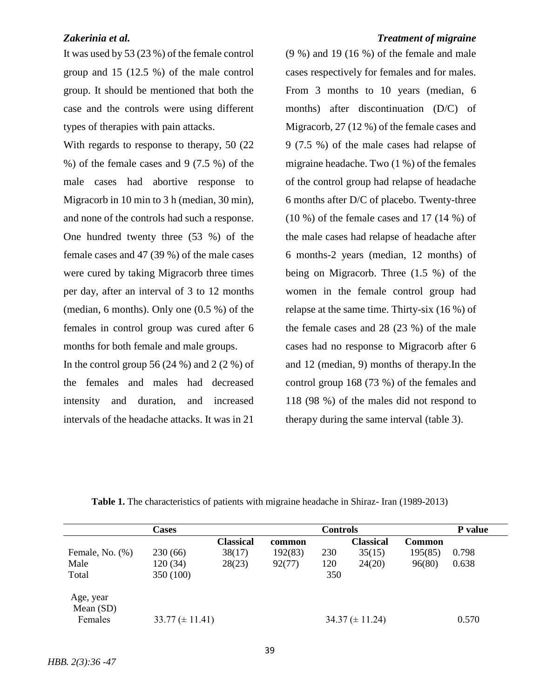It was used by 53 (23 %) of the female control group and 15 (12.5 %) of the male control group. It should be mentioned that both the case and the controls were using different types of therapies with pain attacks.

With regards to response to therapy, 50  $(22)$ %) of the female cases and 9 (7.5 %) of the male cases had abortive response to Migracorb in 10 min to 3 h (median, 30 min), and none of the controls had such a response. One hundred twenty three (53 %) of the female cases and 47 (39 %) of the male cases were cured by taking Migracorb three times per day, after an interval of 3 to 12 months (median, 6 months). Only one (0.5 %) of the females in control group was cured after 6 months for both female and male groups.

In the control group 56  $(24\%)$  and 2  $(2\%)$  of the females and males had decreased intensity and duration, and increased intervals of the headache attacks. It was in 21

## *Zakerinia et al. Treatment of migraine*

(9 %) and 19 (16 %) of the female and male cases respectively for females and for males. From 3 months to 10 years (median, 6 months) after discontinuation (D/C) of Migracorb, 27 (12 %) of the female cases and 9 (7.5 %) of the male cases had relapse of migraine headache. Two (1 %) of the females of the control group had relapse of headache 6 months after D/C of placebo. Twenty-three  $(10\%)$  of the female cases and 17  $(14\%)$  of the male cases had relapse of headache after 6 months-2 years (median, 12 months) of being on Migracorb. Three (1.5 %) of the women in the female control group had relapse at the same time. Thirty-six (16 %) of the female cases and 28 (23 %) of the male cases had no response to Migracorb after 6 and 12 (median, 9) months of therapy.In the control group 168 (73 %) of the females and 118 (98 %) of the males did not respond to therapy during the same interval (table 3).

|                        | <b>Cases</b>          | <b>Controls</b>  |         |     |                       | P value       |       |
|------------------------|-----------------------|------------------|---------|-----|-----------------------|---------------|-------|
|                        |                       | <b>Classical</b> | common  |     | Classical             | <b>Common</b> |       |
| Female, No. $(\%)$     | 230(66)               | 38(17)           | 192(83) | 230 | 35(15)                | 195(85)       | 0.798 |
| Male                   | 120(34)               | 28(23)           | 92(77)  | 120 | 24(20)                | 96(80)        | 0.638 |
| Total                  | 350 (100)             |                  |         | 350 |                       |               |       |
| Age, year<br>Mean (SD) |                       |                  |         |     |                       |               |       |
| Females                | $33.77 \ (\pm 11.41)$ |                  |         |     | $34.37 \ (\pm 11.24)$ |               | 0.570 |

**Table 1.** The characteristics of patients with migraine headache in Shiraz- Iran (1989-2013)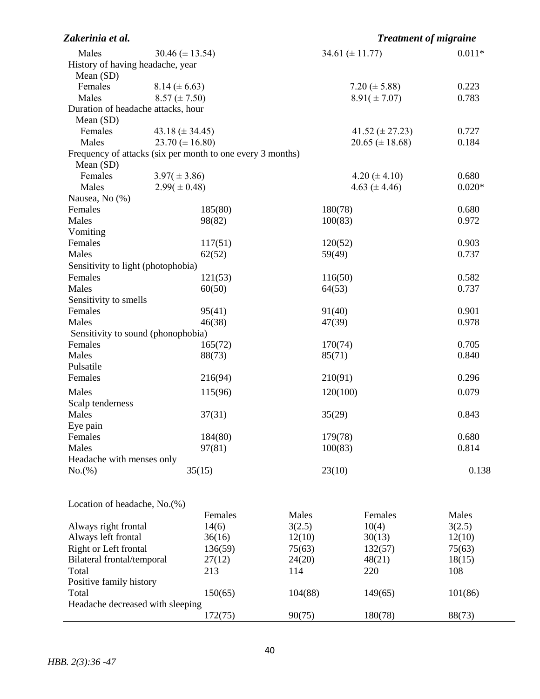| Zakerinia et al.                   |                                                            |                    | <b>Treatment of migraine</b> |          |  |
|------------------------------------|------------------------------------------------------------|--------------------|------------------------------|----------|--|
| Males                              | 30.46 ( $\pm$ 13.54)                                       |                    | 34.61 ( $\pm$ 11.77)         | $0.011*$ |  |
| History of having headache, year   |                                                            |                    |                              |          |  |
| Mean (SD)                          |                                                            |                    |                              |          |  |
| Females                            | $8.14 (\pm 6.63)$                                          | 7.20 ( $\pm$ 5.88) |                              | 0.223    |  |
| Males                              | $8.57 (\pm 7.50)$                                          |                    | $8.91 (\pm 7.07)$            | 0.783    |  |
| Duration of headache attacks, hour |                                                            |                    |                              |          |  |
| Mean (SD)                          |                                                            |                    |                              |          |  |
| Females                            | 43.18 $(\pm 34.45)$                                        |                    | 41.52 $(\pm 27.23)$          | 0.727    |  |
| Males                              | $23.70 \ (\pm 16.80)$                                      |                    | $20.65 \ (\pm 18.68)$        | 0.184    |  |
|                                    | Frequency of attacks (six per month to one every 3 months) |                    |                              |          |  |
| Mean (SD)                          |                                                            |                    |                              |          |  |
| Females                            | $3.97(\pm 3.86)$                                           |                    | 4.20 ( $\pm$ 4.10)           | 0.680    |  |
| Males                              | $2.99(\pm 0.48)$                                           |                    | 4.63 $(\pm 4.46)$            | $0.020*$ |  |
| Nausea, No (%)                     |                                                            |                    |                              |          |  |
| Females                            | 185(80)                                                    | 180(78)            |                              | 0.680    |  |
| Males                              | 98(82)                                                     | 100(83)            |                              | 0.972    |  |
| Vomiting                           |                                                            |                    |                              |          |  |
| Females                            | 117(51)                                                    | 120(52)            |                              | 0.903    |  |
| Males                              | 62(52)                                                     | 59(49)             |                              | 0.737    |  |
| Sensitivity to light (photophobia) |                                                            |                    |                              |          |  |
| Females                            | 121(53)                                                    | 116(50)            |                              | 0.582    |  |
| Males                              | 60(50)                                                     | 64(53)             |                              | 0.737    |  |
| Sensitivity to smells              |                                                            |                    |                              |          |  |
| Females                            | 95(41)                                                     | 91(40)             |                              | 0.901    |  |
| Males                              | 46(38)                                                     | 47(39)             |                              | 0.978    |  |
| Sensitivity to sound (phonophobia) |                                                            |                    |                              |          |  |
| Females                            | 165(72)                                                    | 170(74)            |                              | 0.705    |  |
| Males                              | 88(73)                                                     | 85(71)             |                              | 0.840    |  |
| Pulsatile                          |                                                            |                    |                              |          |  |
| Females                            | 216(94)                                                    | 210(91)            |                              | 0.296    |  |
| Males                              | 115(96)                                                    | 120(100)           |                              | 0.079    |  |
| Scalp tenderness                   |                                                            |                    |                              |          |  |
| Males                              | 37(31)                                                     | 35(29)             |                              | 0.843    |  |
| Eye pain                           |                                                            |                    |                              |          |  |
| Females                            | 184(80)                                                    | 179(78)            |                              | 0.680    |  |
| Males                              | 97(81)                                                     | 100(83)            |                              | 0.814    |  |
| Headache with menses only          |                                                            |                    |                              |          |  |
| No.(%)                             | 35(15)                                                     | 23(10)             |                              | 0.138    |  |
|                                    |                                                            |                    |                              |          |  |
| Location of headache, No.(%)       |                                                            |                    |                              |          |  |
|                                    | Females                                                    | Males              | Females                      | Males    |  |
| Always right frontal               | 14(6)                                                      | 3(2.5)             | 10(4)                        | 3(2.5)   |  |
| Always left frontal                | 36(16)                                                     | 12(10)             | 30(13)                       | 12(10)   |  |
| Right or Left frontal              | 136(59)                                                    | 75(63)             | 132(57)                      | 75(63)   |  |
| Bilateral frontal/temporal         | 27(12)                                                     | 24(20)             | 48(21)                       | 18(15)   |  |
| Total                              | 213                                                        | 114                | 220                          | 108      |  |
| Positive family history            |                                                            |                    |                              |          |  |
| Total                              | 150(65)                                                    | 104(88)            | 149(65)                      | 101(86)  |  |
| Headache decreased with sleeping   |                                                            |                    |                              |          |  |
|                                    | 172(75)                                                    | 90(75)             | 180(78)                      | 88(73)   |  |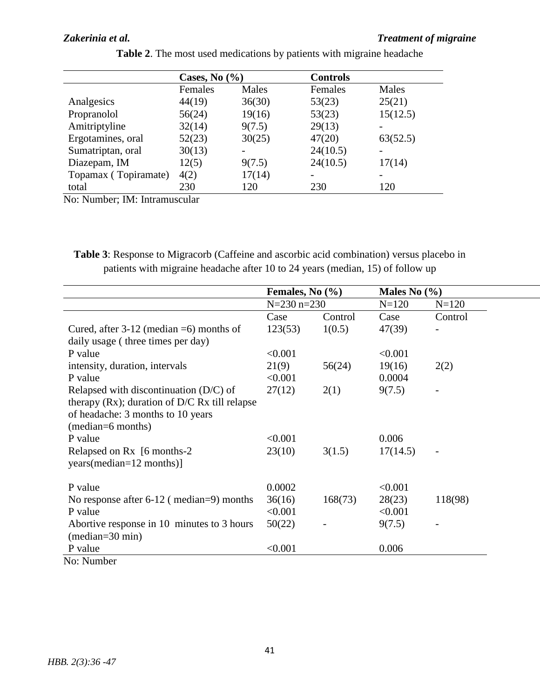## *Zakerinia et al. Treatment of migraine*

|                      | Cases, No $(\% )$ |        | <b>Controls</b> |          |
|----------------------|-------------------|--------|-----------------|----------|
|                      | Females           | Males  | Females         | Males    |
| Analgesics           | 44(19)            | 36(30) | 53(23)          | 25(21)   |
| Propranolol          | 56(24)            | 19(16) | 53(23)          | 15(12.5) |
| Amitriptyline        | 32(14)            | 9(7.5) | 29(13)          |          |
| Ergotamines, oral    | 52(23)            | 30(25) | 47(20)          | 63(52.5) |
| Sumatriptan, oral    | 30(13)            |        | 24(10.5)        |          |
| Diazepam, IM         | 12(5)             | 9(7.5) | 24(10.5)        | 17(14)   |
| Topamax (Topiramate) | 4(2)              | 17(14) |                 |          |
| total                | 230               | 120    | 230             | 120      |

| Table 2. The most used medications by patients with migraine headache |  |  |
|-----------------------------------------------------------------------|--|--|
|                                                                       |  |  |

No: Number; IM: Intramuscular

**Table 3**: Response to Migracorb (Caffeine and ascorbic acid combination) versus placebo in patients with migraine headache after 10 to 24 years (median, 15) of follow up

|                                                  | Females, No $(\% )$ |         | Males No $(\% )$ |           |  |
|--------------------------------------------------|---------------------|---------|------------------|-----------|--|
|                                                  | $N = 230$ n=230     |         | $N = 120$        | $N = 120$ |  |
|                                                  | Case                | Control | Case             | Control   |  |
| Cured, after $3-12$ (median $=6$ ) months of     | 123(53)             | 1(0.5)  | 47(39)           |           |  |
| daily usage (three times per day)                |                     |         |                  |           |  |
| P value                                          | < 0.001             |         | < 0.001          |           |  |
| intensity, duration, intervals                   | 21(9)               | 56(24)  | 19(16)           | 2(2)      |  |
| P value                                          | < 0.001             |         | 0.0004           |           |  |
| Relapsed with discontinuation $(D/C)$ of         | 27(12)              | 2(1)    | 9(7.5)           |           |  |
| therapy $(Rx)$ ; duration of D/C Rx till relapse |                     |         |                  |           |  |
| of headache: 3 months to 10 years                |                     |         |                  |           |  |
| (median=6 months)                                |                     |         |                  |           |  |
| P value                                          | < 0.001             |         | 0.006            |           |  |
| Relapsed on Rx [6 months-2]                      | 23(10)              | 3(1.5)  | 17(14.5)         |           |  |
| years(median=12 months)]                         |                     |         |                  |           |  |
|                                                  |                     |         |                  |           |  |
| P value                                          | 0.0002              |         | < 0.001          |           |  |
| No response after $6-12$ (median=9) months       | 36(16)              | 168(73) | 28(23)           | 118(98)   |  |
| P value                                          | < 0.001             |         | < 0.001          |           |  |
| Abortive response in 10 minutes to 3 hours       | 50(22)              |         | 9(7.5)           |           |  |
| $(median=30 min)$                                |                     |         |                  |           |  |
| P value                                          | < 0.001             |         | 0.006            |           |  |
| No: Number                                       |                     |         |                  |           |  |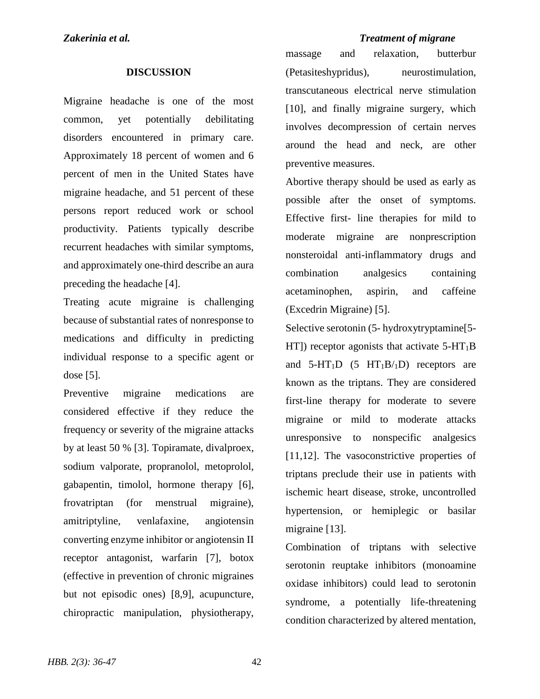## *Zakerinia et al. Treatment of migrane*

## **DISCUSSION**

Migraine headache is one of the most common, yet potentially debilitating disorders encountered in primary care. Approximately 18 percent of women and 6 percent of men in the United States have migraine headache, and 51 percent of these persons report reduced work or school productivity. Patients typically describe recurrent headaches with similar symptoms, and approximately one-third describe an aura preceding the headache [4].

Treating acute migraine is challenging because of substantial rates of nonresponse to medications and difficulty in predicting individual response to a specific agent or dose [5].

Preventive migraine medications are considered effective if they reduce the frequency or severity of the migraine attacks by at least 50 % [3]. Topiramate, divalproex, sodium valporate, propranolol, metoprolol, gabapentin, timolol, hormone therapy [6], frovatriptan (for menstrual migraine), amitriptyline, venlafaxine, angiotensin converting enzyme inhibitor or angiotensin II receptor antagonist, warfarin [7], botox (effective in prevention of chronic migraines but not episodic ones) [8,9], acupuncture, chiropractic manipulation, physiotherapy,

massage and relaxation, butterbur (Petasiteshypridus), neurostimulation, transcutaneous electrical nerve stimulation [10], and finally migraine surgery, which involves decompression of certain nerves around the head and neck, are other preventive measures.

Abortive therapy should be used as early as possible after the onset of symptoms. Effective first- line therapies for mild to moderate migraine are nonprescription nonsteroidal anti-inflammatory drugs and combination analgesics containing acetaminophen, aspirin, and caffeine (Excedrin Migraine) [5].

Selective serotonin (5- hydroxytryptamine[5-  $HT$ ) receptor agonists that activate 5-HT<sub>1</sub>B and  $5-HT_1D$  (5  $HT_1B/ID$ ) receptors are known as the triptans. They are considered first-line therapy for moderate to severe migraine or mild to moderate attacks unresponsive to nonspecific analgesics [11,12]. The vasoconstrictive properties of triptans preclude their use in patients with ischemic heart disease, stroke, uncontrolled hypertension, or hemiplegic or basilar migraine [13].

Combination of triptans with selective serotonin reuptake inhibitors (monoamine oxidase inhibitors) could lead to serotonin syndrome, a potentially life-threatening condition characterized by altered mentation,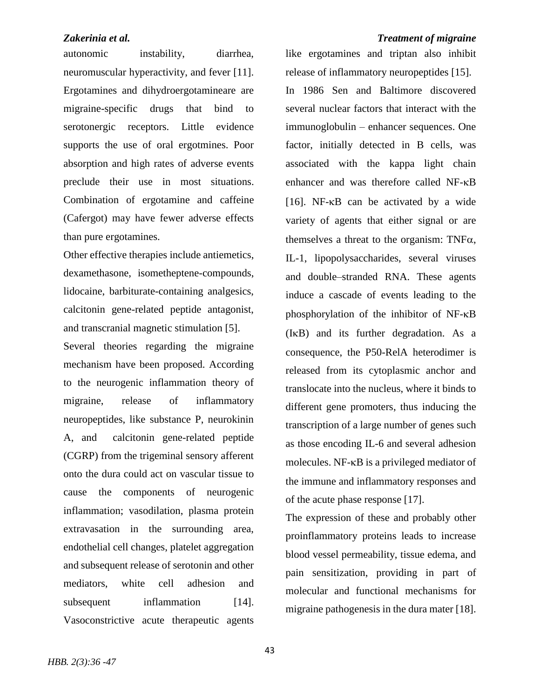autonomic instability, diarrhea, neuromuscular hyperactivity, and fever [11]. Ergotamines and dihydroergotamineare are migraine-specific drugs that bind to serotonergic receptors. Little evidence supports the use of oral ergotmines. Poor absorption and high rates of adverse events preclude their use in most situations. Combination of ergotamine and caffeine (Cafergot) may have fewer adverse effects than pure ergotamines.

Other effective therapies include antiemetics, dexamethasone, isometheptene-compounds, lidocaine, barbiturate-containing analgesics, calcitonin gene-related peptide antagonist, and transcranial magnetic stimulation [5].

Several theories regarding the migraine mechanism have been proposed. According to the neurogenic inflammation theory of migraine, release of inflammatory neuropeptides, like substance P, neurokinin A, and calcitonin gene-related peptide (CGRP) from the trigeminal sensory afferent onto the dura could act on vascular tissue to cause the components of neurogenic inflammation; vasodilation, plasma protein extravasation in the surrounding area, endothelial cell changes, platelet aggregation and subsequent release of serotonin and other mediators, white cell adhesion and subsequent inflammation [14]. Vasoconstrictive acute therapeutic agents

*Zakerinia et al. Treatment of migraine*  like ergotamines and triptan also inhibit release of inflammatory neuropeptides [15]. In 1986 Sen and Baltimore discovered several nuclear factors that interact with the immunoglobulin – enhancer sequences. One factor, initially detected in B cells, was associated with the kappa light chain enhancer and was therefore called NF-KB [16]. NF- $\kappa$ B can be activated by a wide variety of agents that either signal or are themselves a threat to the organism: TNF $\alpha$ , IL-1, lipopolysaccharides, several viruses and double–stranded RNA. These agents induce a cascade of events leading to the phosphorylation of the inhibitor of  $NF-\kappa B$  $(I<sub>K</sub>B)$  and its further degradation. As a consequence, the P50-RelA heterodimer is released from its cytoplasmic anchor and translocate into the nucleus, where it binds to different gene promoters, thus inducing the transcription of a large number of genes such as those encoding IL-6 and several adhesion molecules.  $NF$ - $\kappa$ B is a privileged mediator of

> The expression of these and probably other proinflammatory proteins leads to increase blood vessel permeability, tissue edema, and pain sensitization, providing in part of molecular and functional mechanisms for migraine pathogenesis in the dura mater [18].

> the immune and inflammatory responses and

of the acute phase response [17].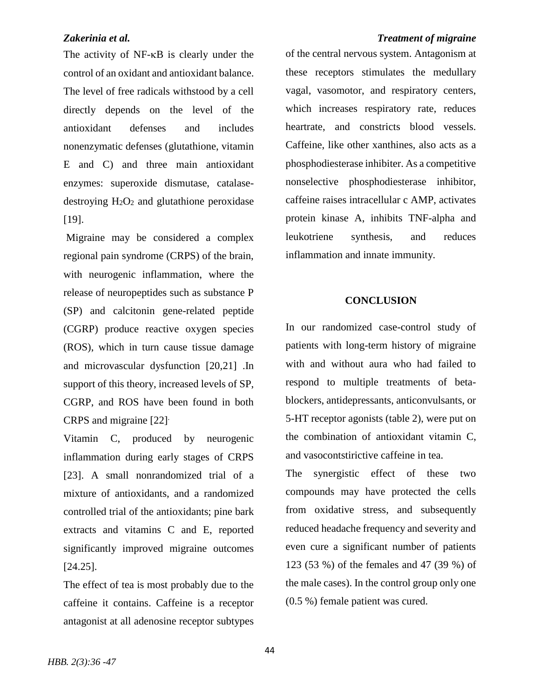The activity of  $NF-\kappa B$  is clearly under the control of an oxidant and antioxidant balance. The level of free radicals withstood by a cell directly depends on the level of the antioxidant defenses and includes nonenzymatic defenses (glutathione, vitamin E and C) and three main antioxidant enzymes: superoxide dismutase, catalasedestroying  $H_2O_2$  and glutathione peroxidase [19].

Migraine may be considered a complex regional pain syndrome (CRPS) of the brain, with neurogenic inflammation, where the release of neuropeptides such as substance P (SP) and calcitonin gene-related peptide (CGRP) produce reactive oxygen species (ROS), which in turn cause tissue damage and microvascular dysfunction [20,21] .In support of this theory, increased levels of SP, CGRP, and ROS have been found in both CRPS and migraine [22].

Vitamin C, produced by neurogenic inflammation during early stages of CRPS [23]. A small nonrandomized trial of a mixture of antioxidants, and a randomized controlled trial of the antioxidants; pine bark extracts and vitamins C and E, reported significantly improved migraine outcomes [24.25].

The effect of tea is most probably due to the caffeine it contains. Caffeine is a receptor antagonist at all adenosine receptor subtypes

## *Zakerinia et al. Treatment of migraine*

of the central nervous system. Antagonism at these receptors stimulates the medullary vagal, vasomotor, and respiratory centers, which increases respiratory rate, reduces heartrate, and constricts blood vessels. Caffeine, like other xanthines, also acts as a phosphodiesterase inhibiter. As a competitive nonselective phosphodiesterase inhibitor, caffeine raises intracellular c AMP, activates protein kinase A, inhibits TNF-alpha and leukotriene synthesis, and reduces inflammation and innate immunity.

## **CONCLUSION**

In our randomized case-control study of patients with long-term history of migraine with and without aura who had failed to respond to multiple treatments of betablockers, antidepressants, anticonvulsants, or 5-HT receptor agonists (table 2), were put on the combination of antioxidant vitamin C, and vasocontstirictive caffeine in tea.

The synergistic effect of these two compounds may have protected the cells from oxidative stress, and subsequently reduced headache frequency and severity and even cure a significant number of patients 123 (53 %) of the females and 47 (39 %) of the male cases). In the control group only one (0.5 %) female patient was cured.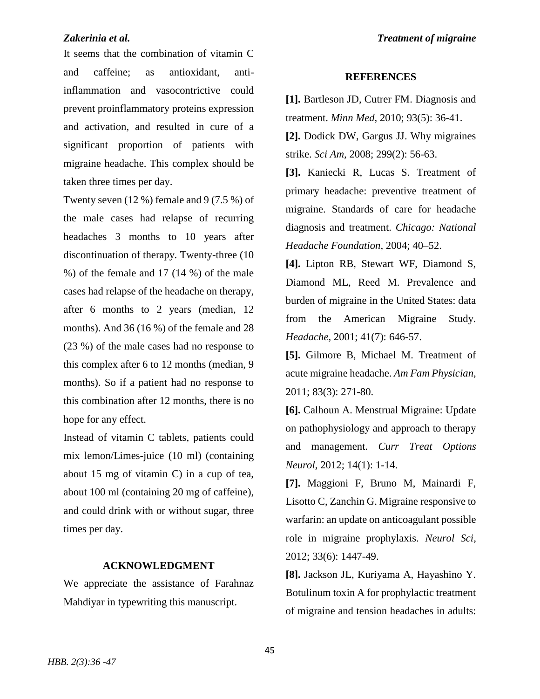It seems that the combination of vitamin C and caffeine; as antioxidant, antiinflammation and vasocontrictive could prevent proinflammatory proteins expression and activation, and resulted in cure of a significant proportion of patients with migraine headache. This complex should be taken three times per day.

Twenty seven (12 %) female and 9 (7.5 %) of the male cases had relapse of recurring headaches 3 months to 10 years after discontinuation of therapy. Twenty-three (10 %) of the female and 17 (14 %) of the male cases had relapse of the headache on therapy, after 6 months to 2 years (median, 12 months). And 36 (16 %) of the female and 28 (23 %) of the male cases had no response to this complex after 6 to 12 months (median, 9 months). So if a patient had no response to this combination after 12 months, there is no hope for any effect.

Instead of vitamin C tablets, patients could mix lemon/Limes-juice (10 ml) (containing about 15 mg of vitamin C) in a cup of tea, about 100 ml (containing 20 mg of caffeine), and could drink with or without sugar, three times per day.

### **ACKNOWLEDGMENT**

We appreciate the assistance of Farahnaz Mahdiyar in typewriting this manuscript.

## **REFERENCES**

**[1].** Bartleson JD, Cutrer FM. Diagnosis and treatment. *Minn Med,* 2010; 93(5): 36-41.

**[2].** Dodick DW, Gargus JJ. Why migraines strike. *Sci Am,* 2008; 299(2): 56-63.

**[3].** Kaniecki R, Lucas S. Treatment of primary headache: preventive treatment of migraine. Standards of care for headache diagnosis and treatment. *Chicago: National Headache Foundation,* 2004; 40–52.

**[4].** Lipton RB, Stewart WF, Diamond S, Diamond ML, Reed M. Prevalence and burden of migraine in the United States: data from the American Migraine Study. *Headache,* 2001; 41(7): 646-57.

**[5].** Gilmore B, Michael M. Treatment of acute migraine headache. *Am Fam Physician,* 2011; 83(3): 271-80.

**[6].** Calhoun A. Menstrual Migraine: Update on pathophysiology and approach to therapy and management. *Curr Treat Options Neurol,* 2012; 14(1): 1-14.

**[7].** Maggioni F, Bruno M, Mainardi F, Lisotto C, Zanchin G. Migraine responsive to warfarin: an update on anticoagulant possible role in migraine prophylaxis. *Neurol Sci,* 2012; 33(6): 1447-49.

**[8].** Jackson JL, Kuriyama A, Hayashino Y. Botulinum toxin A for prophylactic treatment of migraine and tension headaches in adults: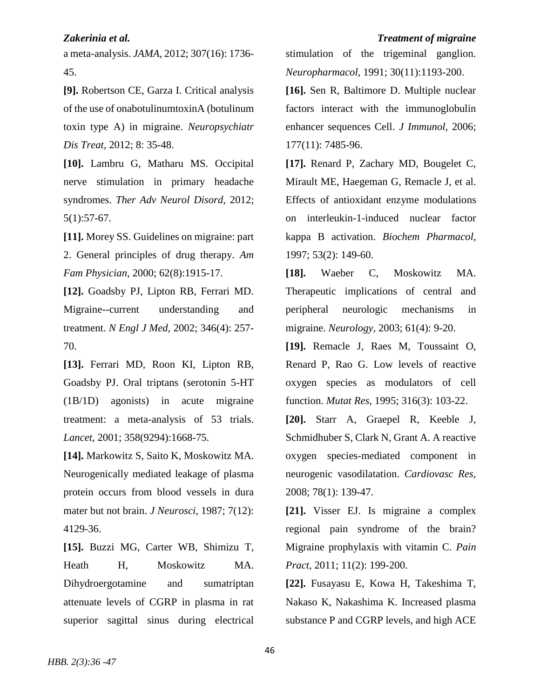a meta-analysis. *JAMA,* 2012; 307(16): 1736- 45.

**[9].** Robertson CE, Garza I. Critical analysis of the use of onabotulinumtoxinA (botulinum toxin type A) in migraine. *Neuropsychiatr Dis Treat,* 2012; 8: 35-48.

**[10].** Lambru G, Matharu MS. Occipital nerve stimulation in primary headache syndromes. *Ther Adv Neurol Disord,* 2012; 5(1):57-67.

**[11].** Morey SS. Guidelines on migraine: part 2. General principles of drug therapy. *Am Fam Physician,* 2000; 62(8):1915-17.

**[12].** Goadsby PJ, Lipton RB, Ferrari MD. Migraine--current understanding and treatment. *N Engl J Med,* 2002; 346(4): 257- 70.

**[13].** Ferrari MD, Roon KI, Lipton RB, Goadsby PJ. Oral triptans (serotonin 5-HT (1B/1D) agonists) in acute migraine treatment: a meta-analysis of 53 trials. *Lancet,* 2001; 358(9294):1668-75.

**[14].** Markowitz S, Saito K, Moskowitz MA. Neurogenically mediated leakage of plasma protein occurs from blood vessels in dura mater but not brain. *J Neurosci,* 1987; 7(12): 4129-36.

**[15].** Buzzi MG, Carter WB, Shimizu T, Heath H, Moskowitz MA. Dihydroergotamine and sumatriptan attenuate levels of CGRP in plasma in rat superior sagittal sinus during electrical

stimulation of the trigeminal ganglion. *Neuropharmacol,* 1991; 30(11):1193-200.

**[16].** Sen R, Baltimore D. Multiple nuclear factors interact with the immunoglobulin enhancer sequences Cell. *J Immunol,* 2006; 177(11): 7485-96.

**[17].** Renard P, Zachary MD, Bougelet C, Mirault ME, Haegeman G, Remacle J, et al. Effects of antioxidant enzyme modulations on interleukin-1-induced nuclear factor kappa B activation. *Biochem Pharmacol,* 1997; 53(2): 149-60.

**[18].** Waeber C, Moskowitz MA. Therapeutic implications of central and peripheral neurologic mechanisms in migraine. *Neurology,* 2003; 61(4): 9-20.

**[19].** Remacle J, Raes M, Toussaint O, Renard P, Rao G. Low levels of reactive oxygen species as modulators of cell function. *Mutat Res,* 1995; 316(3): 103-22.

**[20].** Starr A, Graepel R, Keeble J, Schmidhuber S, Clark N, Grant A. A reactive oxygen species-mediated component in neurogenic vasodilatation. *Cardiovasc Res,* 2008; 78(1): 139-47.

**[21].** Visser EJ. Is migraine a complex regional pain syndrome of the brain? Migraine prophylaxis with vitamin C. *Pain Pract,* 2011; 11(2): 199-200.

**[22].** Fusayasu E, Kowa H, Takeshima T, Nakaso K, Nakashima K. Increased plasma substance P and CGRP levels, and high ACE